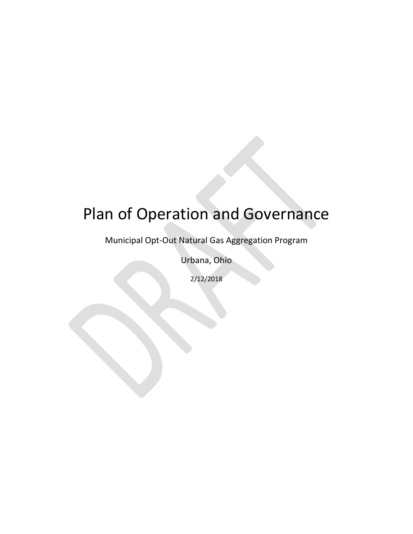# Plan of Operation and Governance

Municipal Opt-Out Natural Gas Aggregation Program

Urbana, Ohio

2/12/2018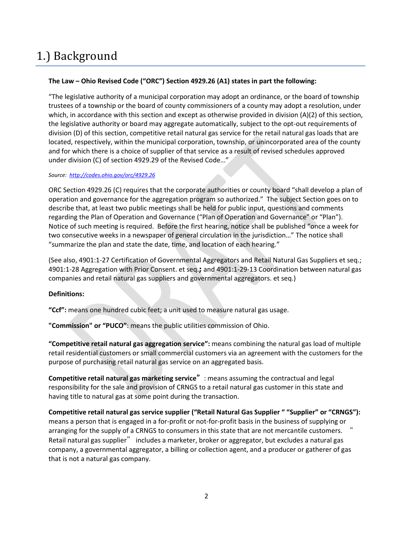## 1.) Background

#### **The Law – Ohio Revised Code ("ORC") Section 4929.26 (A1) states in part the following:**

"The legislative authority of a municipal corporation may adopt an ordinance, or the board of township trustees of a township or the board of county commissioners of a county may adopt a resolution, under which, in accordance with this section and except as otherwise provided in division (A)(2) of this section, the legislative authority or board may aggregate automatically, subject to the opt-out requirements of division (D) of this section, competitive retail natural gas service for the retail natural gas loads that are located, respectively, within the municipal corporation, township, or unincorporated area of the county and for which there is a choice of supplier of that service as a result of revised schedules approved under division (C) of section 4929.29 of the Revised Code…"

#### *Source: <http://codes.ohio.gov/orc/4929.26>*

ORC Section 4929.26 (C) requires that the corporate authorities or county board "shall develop a plan of operation and governance for the aggregation program so authorized." The subject Section goes on to describe that, at least two public meetings shall be held for public input, questions and comments regarding the Plan of Operation and Governance ("Plan of Operation and Governance" or "Plan"). Notice of such meeting is required. Before the first hearing, notice shall be published "once a week for two consecutive weeks in a newspaper of general circulation in the jurisdiction…" The notice shall "summarize the plan and state the date, time, and location of each hearing."

(See also, 4901:1-27 Certification of Governmental Aggregators and Retail Natural Gas Suppliers et seq.; 4901:1-28 Aggregation with Prior Consent. et seq.**;** and 4901:1-29-13 Coordination between natural gas companies and retail natural gas suppliers and governmental aggregators. et seq.)

#### **Definitions:**

**"Ccf":** means one hundred cubic feet; a unit used to measure natural gas usage.

**"Commission" or "PUCO"**: means the public utilities commission of Ohio.

**"Competitive retail natural gas aggregation service":** means combining the natural gas load of multiple retail residential customers or small commercial customers via an agreement with the customers for the purpose of purchasing retail natural gas service on an aggregated basis.

**Competitive retail natural gas marketing service"**: means assuming the contractual and legal responsibility for the sale and provision of CRNGS to a retail natural gas customer in this state and having title to natural gas at some point during the transaction.

**Competitive retail natural gas service supplier ("Retail Natural Gas Supplier " "Supplier" or "CRNGS"):**  means a person that is engaged in a for-profit or not-for-profit basis in the business of supplying or arranging for the supply of a CRNGS to consumers in this state that are not mercantile customers. **"** Retail natural gas supplier**"** includes a marketer, broker or aggregator, but excludes a natural gas company, a governmental aggregator, a billing or collection agent, and a producer or gatherer of gas that is not a natural gas company.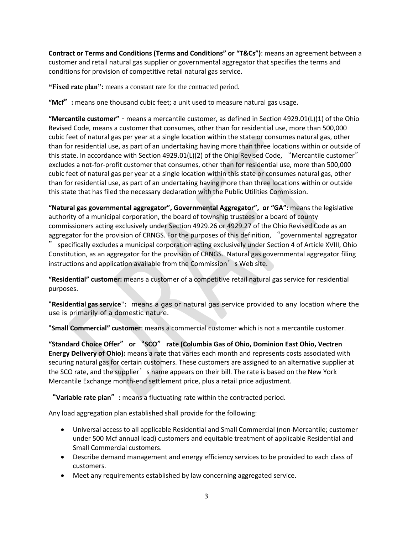**Contract or Terms and Conditions (Terms and Conditions" or "T&Cs")**: means an agreement between a customer and retail natural gas supplier or governmental aggregator that specifies the terms and conditions for provision of competitive retail natural gas service.

**"Fixed rate** p**lan":** means a constant rate for the contracted period.

**"Mcf":** means one thousand cubic feet; a unit used to measure natural gas usage.

**"Mercantile customer" –** means a mercantile customer, as defined in Section 4929.01(L)(1) of the Ohio Revised Code, means a customer that consumes, other than for residential use, more than 500,000 cubic feet of natural gas per year at a single location within the state or consumes natural gas, other than for residential use, as part of an undertaking having more than three locations within or outside of this state. In accordance with Section 4929.01(L)(2) of the Ohio Revised Code, **"**Mercantile customer**"** excludes a not-for-profit customer that consumes, other than for residential use, more than 500,000 cubic feet of natural gas per year at a single location within this state or consumes natural gas, other than for residential use, as part of an undertaking having more than three locations within or outside this state that has filed the necessary declaration with the Public Utilities Commission.

**"Natural gas governmental aggregator", Governmental Aggregator", or "GA":** means the legislative authority of a municipal corporation, the board of township trustees or a board of county commissioners acting exclusively under Section 4929.26 or 4929.27 of the Ohio Revised Code as an aggregator for the provision of CRNGS. For the purposes of this definition, **"**governmental aggregator

**"** specifically excludes a municipal corporation acting exclusively under Section 4 of Article XVIII, Ohio Constitution, as an aggregator for the provision of CRNGS. [Natural gas governmental aggregator filing](http://www.puco.ohio.gov/emplibrary/files/SMED/crng/OhioNaturalGasGovernmentalAggregatorInstructionsandApplicationForm.pdf)  [instructions and application](http://www.puco.ohio.gov/emplibrary/files/SMED/crng/OhioNaturalGasGovernmentalAggregatorInstructionsandApplicationForm.pdf) available from the Commission<sup>'</sup>s Web site.

**"Residential" customer:** means a customer of a competitive retail natural gas service for residential purposes.

**"Residential gas service**": means a gas or natural gas service provided to any location where the use is primarily of a domestic nature.

"**Small Commercial" customer**: means a commercial customer which is not a mercantile customer.

**"Standard Choice Offer" or "SCO" rate (Columbia Gas of Ohio, Dominion East Ohio, Vectren Energy Delivery of Ohio):** means a rate that varies each month and represents costs associated with securing natural gas for certain customers. These customers are assigned to an alternative supplier at the SCO rate, and the supplier**'**s name appears on their bill. The rate is based on the New York Mercantile Exchange month-end settlement price, plus a retail price adjustment.

**"Variable rate** p**lan":** means a fluctuating rate within the contracted period.

Any load aggregation plan established shall provide for the following:

- Universal access to all applicable Residential and Small Commercial (non-Mercantile; customer under 500 Mcf annual load) customers and equitable treatment of applicable Residential and Small Commercial customers.
- Describe demand management and energy efficiency services to be provided to each class of customers.
- Meet any requirements established by law concerning aggregated service.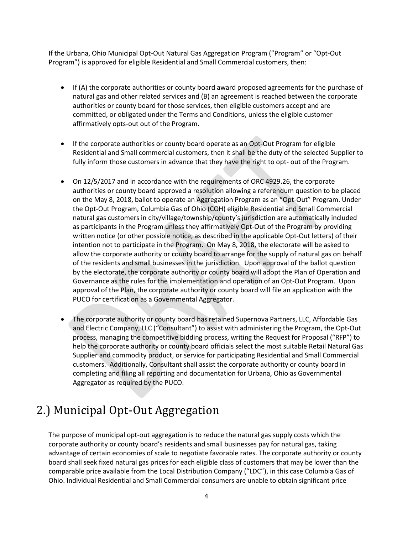If the Urbana, Ohio Municipal Opt-Out Natural Gas Aggregation Program ("Program" or "Opt-Out Program") is approved for eligible Residential and Small Commercial customers, then:

- If (A) the corporate authorities or county board award proposed agreements for the purchase of natural gas and other related services and (B) an agreement is reached between the corporate authorities or county board for those services, then eligible customers accept and are committed, or obligated under the Terms and Conditions, unless the eligible customer affirmatively opts-out out of the Program.
- If the corporate authorities or county board operate as an Opt-Out Program for eligible Residential and Small commercial customers, then it shall be the duty of the selected Supplier to fully inform those customers in advance that they have the right to opt- out of the Program.
- On 12/5/2017 and in accordance with the requirements of ORC 4929.26, the corporate authorities or county board approved a resolution allowing a referendum question to be placed on the May 8, 2018, ballot to operate an Aggregation Program as an "Opt-Out" Program. Under the Opt-Out Program, Columbia Gas of Ohio (COH) eligible Residential and Small Commercial natural gas customers in city/village/township/county's jurisdiction are automatically included as participants in the Program unless they affirmatively Opt-Out of the Program by providing written notice (or other possible notice, as described in the applicable Opt-Out letters) of their intention not to participate in the Program. On May 8, 2018, the electorate will be asked to allow the corporate authority or county board to arrange for the supply of natural gas on behalf of the residents and small businesses in the jurisdiction. Upon approval of the ballot question by the electorate, the corporate authority or county board will adopt the Plan of Operation and Governance as the rules for the implementation and operation of an Opt-Out Program. Upon approval of the Plan, the corporate authority or county board will file an application with the PUCO for certification as a Governmental Aggregator.
- The corporate authority or county board has retained Supernova Partners, LLC, Affordable Gas and Electric Company, LLC ("Consultant") to assist with administering the Program, the Opt-Out process, managing the competitive bidding process, writing the Request for Proposal ("RFP") to help the corporate authority or county board officials select the most suitable Retail Natural Gas Supplier and commodity product, or service for participating Residential and Small Commercial customers. Additionally, Consultant shall assist the corporate authority or county board in completing and filing all reporting and documentation for Urbana, Ohio as Governmental Aggregator as required by the PUCO.

## 2.) Municipal Opt-Out Aggregation

The purpose of municipal opt-out aggregation is to reduce the natural gas supply costs which the corporate authority or county board's residents and small businesses pay for natural gas, taking advantage of certain economies of scale to negotiate favorable rates. The corporate authority or county board shall seek fixed natural gas prices for each eligible class of customers that may be lower than the comparable price available from the Local Distribution Company ("LDC"), in this case Columbia Gas of Ohio. Individual Residential and Small Commercial consumers are unable to obtain significant price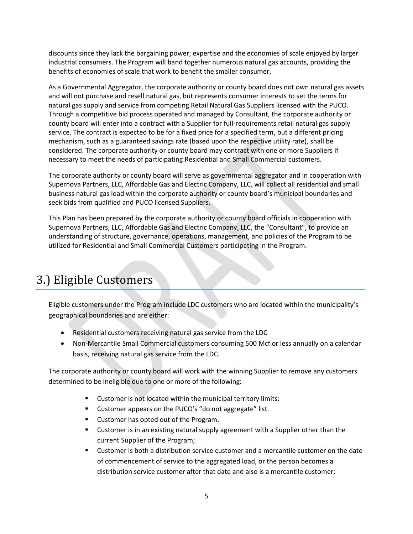discounts since they lack the bargaining power, expertise and the economies of scale enjoyed by larger industrial consumers. The Program will band together numerous natural gas accounts, providing the benefits of economies of scale that work to benefit the smaller consumer.

As a Governmental Aggregator, the corporate authority or county board does not own natural gas assets and will not purchase and resell natural gas, but represents consumer interests to set the terms for natural gas supply and service from competing Retail Natural Gas Suppliers licensed with the PUCO. Through a competitive bid process operated and managed by Consultant, the corporate authority or county board will enter into a contract with a Supplier for full-requirements retail natural gas supply service. The contract is expected to be for a fixed price for a specified term, but a different pricing mechanism, such as a guaranteed savings rate (based upon the respective utility rate), shall be considered. The corporate authority or county board may contract with one or more Suppliers if necessary to meet the needs of participating Residential and Small Commercial customers.

The corporate authority or county board will serve as governmental aggregator and in cooperation with Supernova Partners, LLC, Affordable Gas and Electric Company, LLC, will collect all residential and small business natural gas load within the corporate authority or county board's municipal boundaries and seek bids from qualified and PUCO licensed Suppliers.

This Plan has been prepared by the corporate authority or county board officials in cooperation with Supernova Partners, LLC, Affordable Gas and Electric Company, LLC, the "Consultant", to provide an understanding of structure, governance, operations, management, and policies of the Program to be utilized for Residential and Small Commercial Customers participating in the Program.

## 3.) Eligible Customers

Eligible customers under the Program include LDC customers who are located within the municipality's geographical boundaries and are either:

- Residential customers receiving natural gas service from the LDC
- Non-Mercantile Small Commercial customers consuming 500 Mcf or less annually on a calendar basis, receiving natural gas service from the LDC.

The corporate authority or county board will work with the winning Supplier to remove any customers determined to be ineligible due to one or more of the following:

- Customer is not located within the municipal territory limits;
- Customer appears on the PUCO's "do not aggregate" list.
- Customer has opted out of the Program.
- Customer is in an existing natural supply agreement with a Supplier other than the current Supplier of the Program;
- Customer is both a distribution service customer and a mercantile customer on the date of commencement of service to the aggregated load, or the person becomes a distribution service customer after that date and also is a mercantile customer;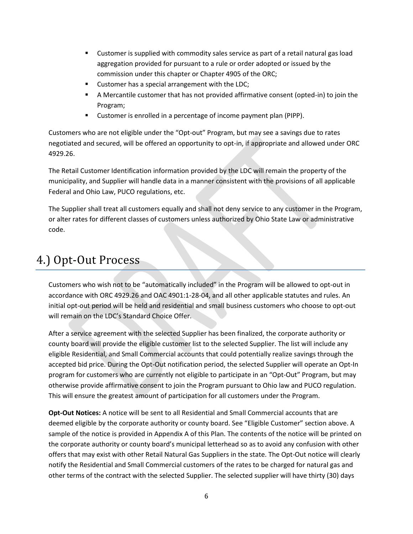- Customer is supplied with commodity sales service as part of a retail natural gas load aggregation provided for pursuant to a rule or order adopted or issued by the commission under this chapter or Chapter 4905 of the ORC;
- Customer has a special arrangement with the LDC;
- A Mercantile customer that has not provided affirmative consent (opted-in) to join the Program;
- Customer is enrolled in a percentage of income payment plan (PIPP).

Customers who are not eligible under the "Opt-out" Program, but may see a savings due to rates negotiated and secured, will be offered an opportunity to opt-in, if appropriate and allowed under ORC 4929.26.

The Retail Customer Identification information provided by the LDC will remain the property of the municipality, and Supplier will handle data in a manner consistent with the provisions of all applicable Federal and Ohio Law, PUCO regulations, etc.

The Supplier shall treat all customers equally and shall not deny service to any customer in the Program, or alter rates for different classes of customers unless authorized by Ohio State Law or administrative code.

#### 4.) Opt-Out Process

Customers who wish not to be "automatically included" in the Program will be allowed to opt-out in accordance with ORC 4929.26 and OAC 4901:1-28-04, and all other applicable statutes and rules. An initial opt-out period will be held and residential and small business customers who choose to opt-out will remain on the LDC's Standard Choice Offer.

After a service agreement with the selected Supplier has been finalized, the corporate authority or county board will provide the eligible customer list to the selected Supplier. The list will include any eligible Residential, and Small Commercial accounts that could potentially realize savings through the accepted bid price. During the Opt-Out notification period, the selected Supplier will operate an Opt-In program for customers who are currently not eligible to participate in an "Opt-Out" Program, but may otherwise provide affirmative consent to join the Program pursuant to Ohio law and PUCO regulation. This will ensure the greatest amount of participation for all customers under the Program.

**Opt-Out Notices:** A notice will be sent to all Residential and Small Commercial accounts that are deemed eligible by the corporate authority or county board. See "Eligible Customer" section above. A sample of the notice is provided in Appendix A of this Plan. The contents of the notice will be printed on the corporate authority or county board's municipal letterhead so as to avoid any confusion with other offers that may exist with other Retail Natural Gas Suppliers in the state. The Opt-Out notice will clearly notify the Residential and Small Commercial customers of the rates to be charged for natural gas and other terms of the contract with the selected Supplier. The selected supplier will have thirty (30) days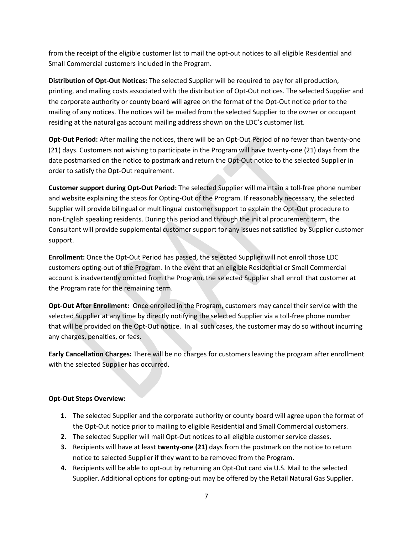from the receipt of the eligible customer list to mail the opt-out notices to all eligible Residential and Small Commercial customers included in the Program.

**Distribution of Opt-Out Notices:** The selected Supplier will be required to pay for all production, printing, and mailing costs associated with the distribution of Opt-Out notices. The selected Supplier and the corporate authority or county board will agree on the format of the Opt-Out notice prior to the mailing of any notices. The notices will be mailed from the selected Supplier to the owner or occupant residing at the natural gas account mailing address shown on the LDC's customer list.

**Opt-Out Period:** After mailing the notices, there will be an Opt-Out Period of no fewer than twenty-one (21) days. Customers not wishing to participate in the Program will have twenty-one (21) days from the date postmarked on the notice to postmark and return the Opt-Out notice to the selected Supplier in order to satisfy the Opt-Out requirement.

**Customer support during Opt-Out Period:** The selected Supplier will maintain a toll-free phone number and website explaining the steps for Opting-Out of the Program. If reasonably necessary, the selected Supplier will provide bilingual or multilingual customer support to explain the Opt-Out procedure to non-English speaking residents. During this period and through the initial procurement term, the Consultant will provide supplemental customer support for any issues not satisfied by Supplier customer support.

**Enrollment:** Once the Opt-Out Period has passed, the selected Supplier will not enroll those LDC customers opting-out of the Program. In the event that an eligible Residential or Small Commercial account is inadvertently omitted from the Program, the selected Supplier shall enroll that customer at the Program rate for the remaining term.

**Opt-Out After Enrollment:** Once enrolled in the Program, customers may cancel their service with the selected Supplier at any time by directly notifying the selected Supplier via a toll-free phone number that will be provided on the Opt-Out notice. In all such cases, the customer may do so without incurring any charges, penalties, or fees.

**Early Cancellation Charges:** There will be no charges for customers leaving the program after enrollment with the selected Supplier has occurred.

#### **Opt-Out Steps Overview:**

- **1.** The selected Supplier and the corporate authority or county board will agree upon the format of the Opt-Out notice prior to mailing to eligible Residential and Small Commercial customers.
- **2.** The selected Supplier will mail Opt-Out notices to all eligible customer service classes.
- **3.** Recipients will have at least **twenty-one (21)** days from the postmark on the notice to return notice to selected Supplier if they want to be removed from the Program.
- **4.** Recipients will be able to opt-out by returning an Opt-Out card via U.S. Mail to the selected Supplier. Additional options for opting-out may be offered by the Retail Natural Gas Supplier.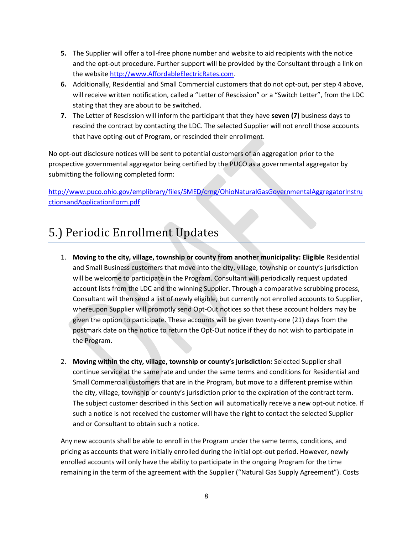- **5.** The Supplier will offer a toll-free phone number and website to aid recipients with the notice and the opt-out procedure. Further support will be provided by the Consultant through a link on the website [http://www.AffordableElectricRates.com.](http://www.affordableelectricrates.com/)
- **6.** Additionally, Residential and Small Commercial customers that do not opt-out, per step 4 above, will receive written notification, called a "Letter of Rescission" or a "Switch Letter", from the LDC stating that they are about to be switched.
- **7.** The Letter of Rescission will inform the participant that they have **seven (7)** business days to rescind the contract by contacting the LDC. The selected Supplier will not enroll those accounts that have opting-out of Program, or rescinded their enrollment.

No opt-out disclosure notices will be sent to potential customers of an aggregation prior to the prospective governmental aggregator being certified by the PUCO as a governmental aggregator by submitting the following completed form:

[http://www.puco.ohio.gov/emplibrary/files/SMED/crng/OhioNaturalGasGovernmentalAggregatorInstru](http://www.puco.ohio.gov/emplibrary/files/SMED/crng/OhioNaturalGasGovernmentalAggregatorInstructionsandApplicationForm.pdf) [ctionsandApplicationForm.pdf](http://www.puco.ohio.gov/emplibrary/files/SMED/crng/OhioNaturalGasGovernmentalAggregatorInstructionsandApplicationForm.pdf)

#### 5.) Periodic Enrollment Updates

- 1. **Moving to the city, village, township or county from another municipality: Eligible** Residential and Small Business customers that move into the city, village, township or county's jurisdiction will be welcome to participate in the Program. Consultant will periodically request updated account lists from the LDC and the winning Supplier. Through a comparative scrubbing process, Consultant will then send a list of newly eligible, but currently not enrolled accounts to Supplier, whereupon Supplier will promptly send Opt-Out notices so that these account holders may be given the option to participate. These accounts will be given twenty-one (21) days from the postmark date on the notice to return the Opt-Out notice if they do not wish to participate in the Program.
- 2. **Moving within the city, village, township or county's jurisdiction:** Selected Supplier shall continue service at the same rate and under the same terms and conditions for Residential and Small Commercial customers that are in the Program, but move to a different premise within the city, village, township or county's jurisdiction prior to the expiration of the contract term. The subject customer described in this Section will automatically receive a new opt-out notice. If such a notice is not received the customer will have the right to contact the selected Supplier and or Consultant to obtain such a notice.

Any new accounts shall be able to enroll in the Program under the same terms, conditions, and pricing as accounts that were initially enrolled during the initial opt-out period. However, newly enrolled accounts will only have the ability to participate in the ongoing Program for the time remaining in the term of the agreement with the Supplier ("Natural Gas Supply Agreement"). Costs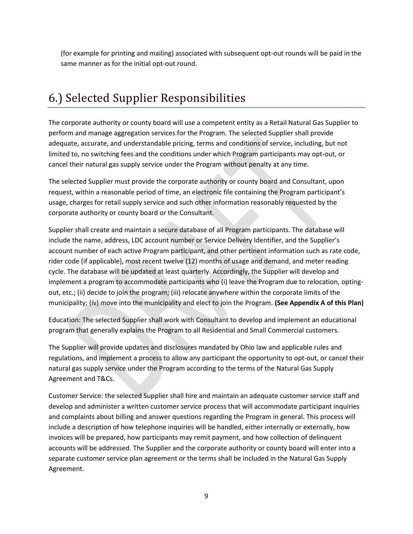(for example for printing and mailing) associated with subsequent opt-out rounds will be paid in the same manner as for the initial opt-out round.

### 6.) Selected Supplier Responsibilities

The corporate authority or county board will use a competent entity as a Retail Natural Gas Supplier to perform and manage aggregation services for the Program. The selected Supplier shall provide adequate, accurate, and understandable pricing, terms and conditions of service, including, but not limited to, no switching fees and the conditions under which Program participants may opt-out, or cancel their natural gas supply service under the Program without penalty at any time.

The selected Supplier must provide the corporate authority or county board and Consultant, upon request, within a reasonable period of time, an electronic file containing the Program participant's usage, charges for retail supply service and such other information reasonably requested by the corporate authority or county board or the Consultant.

Supplier shall create and maintain a secure database of all Program participants. The database will include the name, address, LDC account number or Service Delivery Identifier, and the Supplier's account number of each active Program participant, and other pertinent information such as rate code, rider code (if applicable), most recent twelve (12) months of usage and demand, and meter reading cycle. The database will be updated at least quarterly. Accordingly, the Supplier will develop and implement a program to accommodate participants who (i) leave the Program due to relocation, optingout, etc.; (ii) decide to join the program; (iii) relocate anywhere within the corporate limits of the municipality; (iv) move into the municipality and elect to join the Program. **(See Appendix A of this Plan)**

Education: The selected Supplier shall work with Consultant to develop and implement an educational program that generally explains the Program to all Residential and Small Commercial customers.

The Supplier will provide updates and disclosures mandated by Ohio law and applicable rules and regulations, and implement a process to allow any participant the opportunity to opt-out, or cancel their natural gas supply service under the Program according to the terms of the Natural Gas Supply Agreement and T&Cs.

Customer Service: the selected Supplier shall hire and maintain an adequate customer service staff and develop and administer a written customer service process that will accommodate participant inquiries and complaints about billing and answer questions regarding the Program in general. This process will include a description of how telephone inquiries will be handled, either internally or externally, how invoices will be prepared, how participants may remit payment, and how collection of delinquent accounts will be addressed. The Supplier and the corporate authority or county board will enter into a separate customer service plan agreement or the terms shall be included in the Natural Gas Supply Agreement.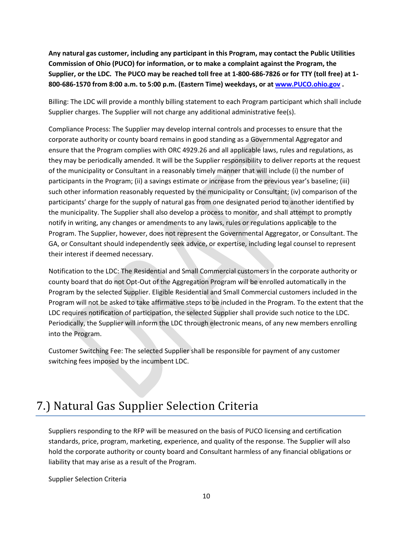**Any natural gas customer, including any participant in this Program, may contact the Public Utilities Commission of Ohio (PUCO) for information, or to make a complaint against the Program, the Supplier, or the LDC. The PUCO may be reached toll free at 1-800-686-7826 or for TTY (toll free) at 1- 800-686-1570 from 8:00 a.m. to 5:00 p.m. (Eastern Time) weekdays, or at [www.PUCO.ohio.gov](http://www.puco.ohio.gov/) .**

Billing: The LDC will provide a monthly billing statement to each Program participant which shall include Supplier charges. The Supplier will not charge any additional administrative fee(s).

Compliance Process: The Supplier may develop internal controls and processes to ensure that the corporate authority or county board remains in good standing as a Governmental Aggregator and ensure that the Program complies with ORC 4929.26 and all applicable laws, rules and regulations, as they may be periodically amended. It will be the Supplier responsibility to deliver reports at the request of the municipality or Consultant in a reasonably timely manner that will include (i) the number of participants in the Program; (ii) a savings estimate or increase from the previous year's baseline; (iii) such other information reasonably requested by the municipality or Consultant; (iv) comparison of the participants' charge for the supply of natural gas from one designated period to another identified by the municipality. The Supplier shall also develop a process to monitor, and shall attempt to promptly notify in writing, any changes or amendments to any laws, rules or regulations applicable to the Program. The Supplier, however, does not represent the Governmental Aggregator, or Consultant. The GA, or Consultant should independently seek advice, or expertise, including legal counsel to represent their interest if deemed necessary.

Notification to the LDC: The Residential and Small Commercial customers in the corporate authority or county board that do not Opt-Out of the Aggregation Program will be enrolled automatically in the Program by the selected Supplier. Eligible Residential and Small Commercial customers included in the Program will not be asked to take affirmative steps to be included in the Program. To the extent that the LDC requires notification of participation, the selected Supplier shall provide such notice to the LDC. Periodically, the Supplier will inform the LDC through electronic means, of any new members enrolling into the Program.

Customer Switching Fee: The selected Supplier shall be responsible for payment of any customer switching fees imposed by the incumbent LDC.

## 7.) Natural Gas Supplier Selection Criteria

Suppliers responding to the RFP will be measured on the basis of PUCO licensing and certification standards, price, program, marketing, experience, and quality of the response. The Supplier will also hold the corporate authority or county board and Consultant harmless of any financial obligations or liability that may arise as a result of the Program.

Supplier Selection Criteria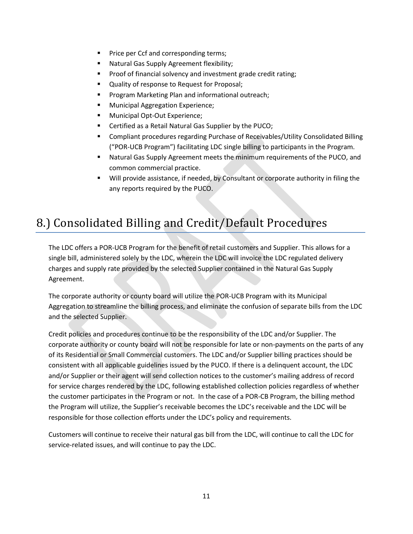- Price per Ccf and corresponding terms;
- Natural Gas Supply Agreement flexibility;
- Proof of financial solvency and investment grade credit rating;
- Quality of response to Request for Proposal;
- Program Marketing Plan and informational outreach;
- Municipal Aggregation Experience;
- Municipal Opt-Out Experience;
- Certified as a Retail Natural Gas Supplier by the PUCO;
- **Compliant procedures regarding Purchase of Receivables/Utility Consolidated Billing** ("POR-UCB Program") facilitating LDC single billing to participants in the Program.
- Natural Gas Supply Agreement meets the minimum requirements of the PUCO, and common commercial practice.
- Will provide assistance, if needed, by Consultant or corporate authority in filing the any reports required by the PUCO.

### 8.) Consolidated Billing and Credit/Default Procedures

The LDC offers a POR-UCB Program for the benefit of retail customers and Supplier. This allows for a single bill, administered solely by the LDC, wherein the LDC will invoice the LDC regulated delivery charges and supply rate provided by the selected Supplier contained in the Natural Gas Supply Agreement.

The corporate authority or county board will utilize the POR-UCB Program with its Municipal Aggregation to streamline the billing process, and eliminate the confusion of separate bills from the LDC and the selected Supplier.

Credit policies and procedures continue to be the responsibility of the LDC and/or Supplier. The corporate authority or county board will not be responsible for late or non-payments on the parts of any of its Residential or Small Commercial customers. The LDC and/or Supplier billing practices should be consistent with all applicable guidelines issued by the PUCO. If there is a delinquent account, the LDC and/or Supplier or their agent will send collection notices to the customer's mailing address of record for service charges rendered by the LDC, following established collection policies regardless of whether the customer participates in the Program or not. In the case of a POR-CB Program, the billing method the Program will utilize, the Supplier's receivable becomes the LDC's receivable and the LDC will be responsible for those collection efforts under the LDC's policy and requirements.

Customers will continue to receive their natural gas bill from the LDC, will continue to call the LDC for service-related issues, and will continue to pay the LDC.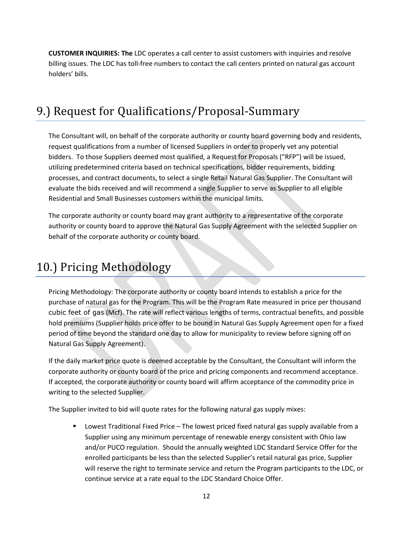**CUSTOMER INQUIRIES: The** LDC operates a call center to assist customers with inquiries and resolve billing issues. The LDC has toll-free numbers to contact the call centers printed on natural gas account holders' bills.

### 9.) Request for Qualifications/Proposal-Summary

The Consultant will, on behalf of the corporate authority or county board governing body and residents, request qualifications from a number of licensed Suppliers in order to properly vet any potential bidders. To those Suppliers deemed most qualified, a Request for Proposals ("RFP") will be issued, utilizing predetermined criteria based on technical specifications, bidder requirements, bidding processes, and contract documents, to select a single Retail Natural Gas Supplier. The Consultant will evaluate the bids received and will recommend a single Supplier to serve as Supplier to all eligible Residential and Small Businesses customers within the municipal limits.

The corporate authority or county board may grant authority to a representative of the corporate authority or county board to approve the Natural Gas Supply Agreement with the selected Supplier on behalf of the corporate authority or county board.

### 10.) Pricing Methodology

Pricing Methodology: The corporate authority or county board intends to establish a price for the purchase of natural gas for the Program. This will be the Program Rate measured in price per thousand cubic feet of gas (Mcf). The rate will reflect various lengths of terms, contractual benefits, and possible hold premiums (Supplier holds price offer to be bound in Natural Gas Supply Agreement open for a fixed period of time beyond the standard one day to allow for municipality to review before signing off on Natural Gas Supply Agreement).

If the daily market price quote is deemed acceptable by the Consultant, the Consultant will inform the corporate authority or county board of the price and pricing components and recommend acceptance. If accepted, the corporate authority or county board will affirm acceptance of the commodity price in writing to the selected Supplier.

The Supplier invited to bid will quote rates for the following natural gas supply mixes:

Lowest Traditional Fixed Price – The lowest priced fixed natural gas supply available from a Supplier using any minimum percentage of renewable energy consistent with Ohio law and/or PUCO regulation. Should the annually weighted LDC Standard Service Offer for the enrolled participants be less than the selected Supplier's retail natural gas price, Supplier will reserve the right to terminate service and return the Program participants to the LDC, or continue service at a rate equal to the LDC Standard Choice Offer.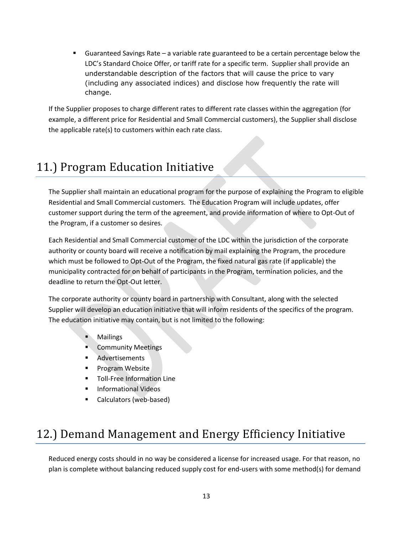■ Guaranteed Savings Rate – a variable rate guaranteed to be a certain percentage below the LDC's Standard Choice Offer, or tariff rate for a specific term. Supplier shall provide an understandable description of the factors that will cause the price to vary (including any associated indices) and disclose how frequently the rate will change.

If the Supplier proposes to charge different rates to different rate classes within the aggregation (for example, a different price for Residential and Small Commercial customers), the Supplier shall disclose the applicable rate(s) to customers within each rate class.

### 11.) Program Education Initiative

The Supplier shall maintain an educational program for the purpose of explaining the Program to eligible Residential and Small Commercial customers. The Education Program will include updates, offer customer support during the term of the agreement, and provide information of where to Opt-Out of the Program, if a customer so desires.

Each Residential and Small Commercial customer of the LDC within the jurisdiction of the corporate authority or county board will receive a notification by mail explaining the Program, the procedure which must be followed to Opt-Out of the Program, the fixed natural gas rate (if applicable) the municipality contracted for on behalf of participants in the Program, termination policies, and the deadline to return the Opt-Out letter.

The corporate authority or county board in partnership with Consultant, along with the selected Supplier will develop an education initiative that will inform residents of the specifics of the program. The education initiative may contain, but is not limited to the following:

- **Mailings**
- **Community Meetings**
- **Advertisements**
- Program Website
- **■** Toll-Free Information Line
- Informational Videos
- Calculators (web-based)

## 12.) Demand Management and Energy Efficiency Initiative

Reduced energy costs should in no way be considered a license for increased usage. For that reason, no plan is complete without balancing reduced supply cost for end-users with some method(s) for demand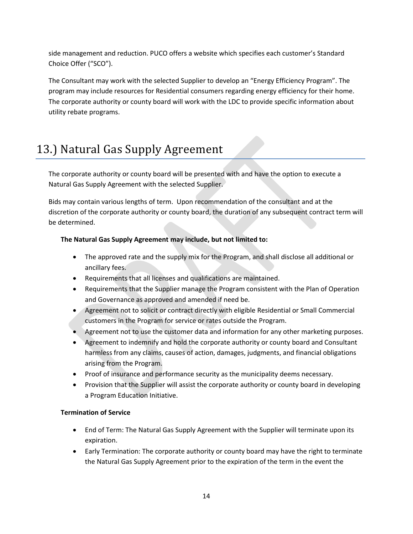side management and reduction. PUCO offers a website which specifies each customer's Standard Choice Offer ("SCO").

The Consultant may work with the selected Supplier to develop an "Energy Efficiency Program". The program may include resources for Residential consumers regarding energy efficiency for their home. The corporate authority or county board will work with the LDC to provide specific information about utility rebate programs.

### 13.) Natural Gas Supply Agreement

The corporate authority or county board will be presented with and have the option to execute a Natural Gas Supply Agreement with the selected Supplier.

Bids may contain various lengths of term. Upon recommendation of the consultant and at the discretion of the corporate authority or county board, the duration of any subsequent contract term will be determined.

#### **The Natural Gas Supply Agreement may include, but not limited to:**

- The approved rate and the supply mix for the Program, and shall disclose all additional or ancillary fees.
- Requirements that all licenses and qualifications are maintained.
- Requirements that the Supplier manage the Program consistent with the Plan of Operation and Governance as approved and amended if need be.
- Agreement not to solicit or contract directly with eligible Residential or Small Commercial customers in the Program for service or rates outside the Program.
- Agreement not to use the customer data and information for any other marketing purposes.
- Agreement to indemnify and hold the corporate authority or county board and Consultant harmless from any claims, causes of action, damages, judgments, and financial obligations arising from the Program.
- Proof of insurance and performance security as the municipality deems necessary.
- Provision that the Supplier will assist the corporate authority or county board in developing a Program Education Initiative.

#### **Termination of Service**

- End of Term: The Natural Gas Supply Agreement with the Supplier will terminate upon its expiration.
- Early Termination: The corporate authority or county board may have the right to terminate the Natural Gas Supply Agreement prior to the expiration of the term in the event the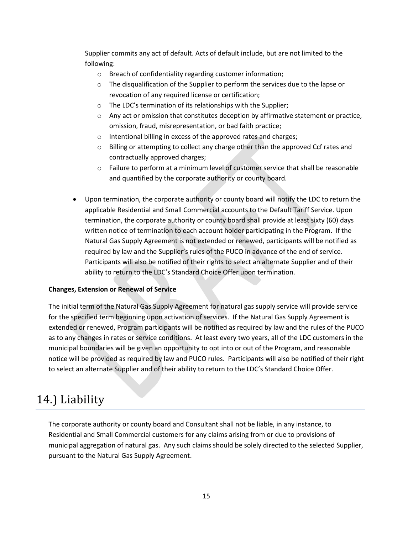Supplier commits any act of default. Acts of default include, but are not limited to the following:

- o Breach of confidentiality regarding customer information;
- o The disqualification of the Supplier to perform the services due to the lapse or revocation of any required license or certification;
- o The LDC's termination of its relationships with the Supplier;
- $\circ$  Any act or omission that constitutes deception by affirmative statement or practice, omission, fraud, misrepresentation, or bad faith practice;
- o Intentional billing in excess of the approved rates and charges;
- $\circ$  Billing or attempting to collect any charge other than the approved Ccf rates and contractually approved charges;
- $\circ$  Failure to perform at a minimum level of customer service that shall be reasonable and quantified by the corporate authority or county board.
- Upon termination, the corporate authority or county board will notify the LDC to return the applicable Residential and Small Commercial accounts to the Default Tariff Service. Upon termination, the corporate authority or county board shall provide at least sixty (60) days written notice of termination to each account holder participating in the Program. If the Natural Gas Supply Agreement is not extended or renewed, participants will be notified as required by law and the Supplier's rules of the PUCO in advance of the end of service. Participants will also be notified of their rights to select an alternate Supplier and of their ability to return to the LDC's Standard Choice Offer upon termination.

#### **Changes, Extension or Renewal of Service**

The initial term of the Natural Gas Supply Agreement for natural gas supply service will provide service for the specified term beginning upon activation of services. If the Natural Gas Supply Agreement is extended or renewed, Program participants will be notified as required by law and the rules of the PUCO as to any changes in rates or service conditions. At least every two years, all of the LDC customers in the municipal boundaries will be given an opportunity to opt into or out of the Program, and reasonable notice will be provided as required by law and PUCO rules. Participants will also be notified of their right to select an alternate Supplier and of their ability to return to the LDC's Standard Choice Offer.

#### 14.) Liability

The corporate authority or county board and Consultant shall not be liable, in any instance, to Residential and Small Commercial customers for any claims arising from or due to provisions of municipal aggregation of natural gas. Any such claims should be solely directed to the selected Supplier, pursuant to the Natural Gas Supply Agreement.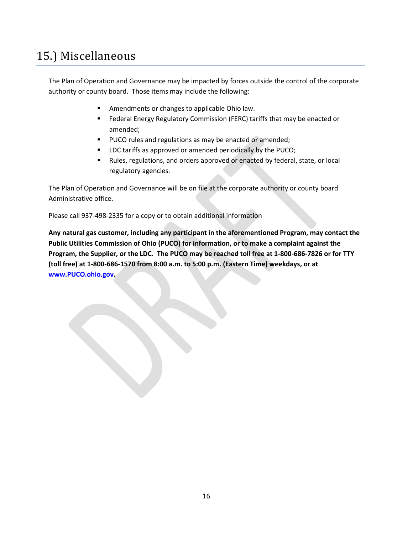### 15.) Miscellaneous

The Plan of Operation and Governance may be impacted by forces outside the control of the corporate authority or county board. Those items may include the following:

- Amendments or changes to applicable Ohio law.
- Federal Energy Regulatory Commission (FERC) tariffs that may be enacted or amended;
- PUCO rules and regulations as may be enacted or amended;
- LDC tariffs as approved or amended periodically by the PUCO;
- Rules, regulations, and orders approved or enacted by federal, state, or local regulatory agencies.

The Plan of Operation and Governance will be on file at the corporate authority or county board Administrative office.

Please call 937-498-2335 for a copy or to obtain additional information

**Any natural gas customer, including any participant in the aforementioned Program, may contact the Public Utilities Commission of Ohio (PUCO) for information, or to make a complaint against the Program, the Supplier, or the LDC. The PUCO may be reached toll free at 1-800-686-7826 or for TTY (toll free) at 1-800-686-1570 from 8:00 a.m. to 5:00 p.m. (Eastern Time) weekdays, or at [www.PUCO.ohio.gov.](http://www.puco.ohio.gov/)**